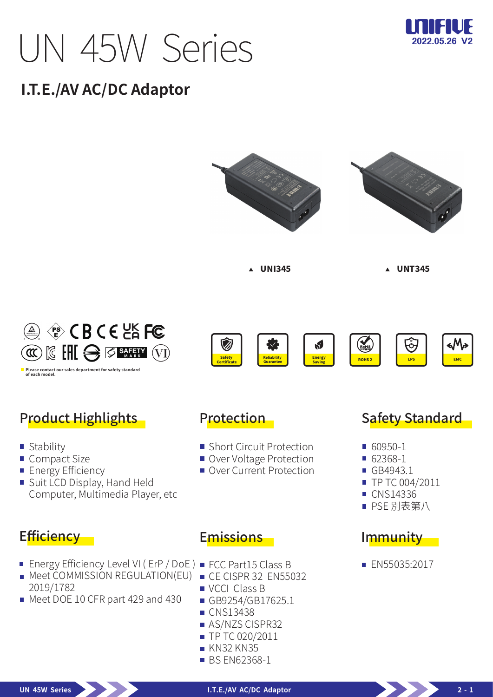# UN 45W Series



# **I.T.E./AV AC/DC Adaptor**











# Product Highlights

- **Stability**
- Compact Size
- **Energy Efficiency**
- Suit LCD Display, Hand Held Computer, Multimedia Player, etc

#### Efficiency -

- Energy Efficiency Level VI ( ErP / DoE ) FCC Part15 Class B
- **Meet COMMISSION REGULATION(EU)** 2019/1782
- Meet DOE 10 CFR part 429 and 430

#### Protection

- Short Circuit Protection
- Over Voltage Protection
- Over Current Protection

#### Safety Standard

- 60950-1
- 62368-1
- GB4943.1
- TP TC 004/2011
- CNS14336
- PSE 別表第八

#### Immunity

**EN55035:2017** 

#### Emissions

- 
- CE CISPR 32 EN55032
- **VCCI Class B**
- GB9254/GB17625.1
- **CNS13438**
- **AS/NZS CISPR32**
- **TP TC 020/2011**
- **KN32 KN35**
- **BS EN62368-1**